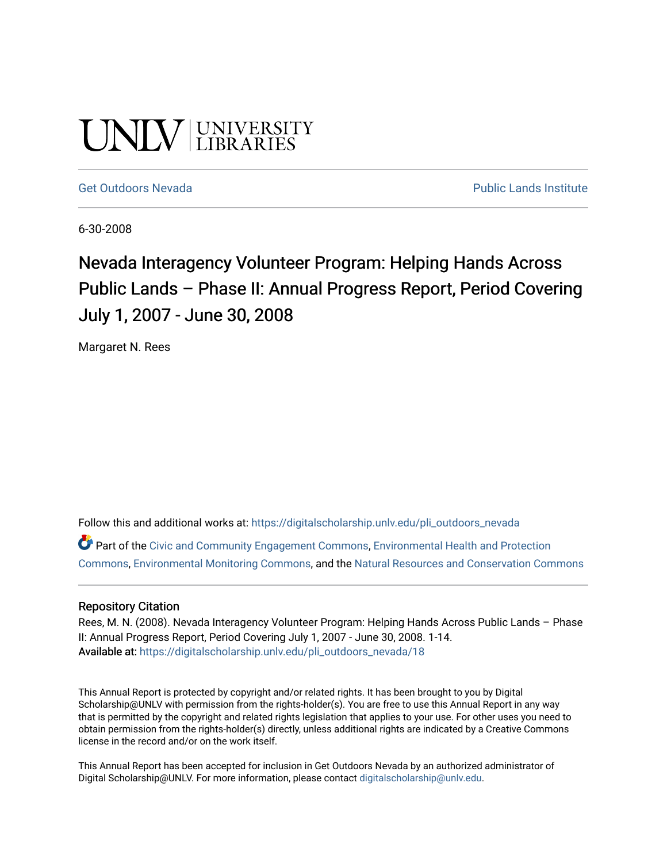# **UNIVERSITY**

#### [Get Outdoors Nevada](https://digitalscholarship.unlv.edu/pli_outdoors_nevada) **Public Lands Institute** Public Lands Institute

6-30-2008

# Nevada Interagency Volunteer Program: Helping Hands Across Public Lands – Phase II: Annual Progress Report, Period Covering July 1, 2007 - June 30, 2008

Margaret N. Rees

Follow this and additional works at: [https://digitalscholarship.unlv.edu/pli\\_outdoors\\_nevada](https://digitalscholarship.unlv.edu/pli_outdoors_nevada?utm_source=digitalscholarship.unlv.edu%2Fpli_outdoors_nevada%2F18&utm_medium=PDF&utm_campaign=PDFCoverPages)

Part of the [Civic and Community Engagement Commons](http://network.bepress.com/hgg/discipline/1028?utm_source=digitalscholarship.unlv.edu%2Fpli_outdoors_nevada%2F18&utm_medium=PDF&utm_campaign=PDFCoverPages), [Environmental Health and Protection](http://network.bepress.com/hgg/discipline/172?utm_source=digitalscholarship.unlv.edu%2Fpli_outdoors_nevada%2F18&utm_medium=PDF&utm_campaign=PDFCoverPages)  [Commons](http://network.bepress.com/hgg/discipline/172?utm_source=digitalscholarship.unlv.edu%2Fpli_outdoors_nevada%2F18&utm_medium=PDF&utm_campaign=PDFCoverPages), [Environmental Monitoring Commons,](http://network.bepress.com/hgg/discipline/931?utm_source=digitalscholarship.unlv.edu%2Fpli_outdoors_nevada%2F18&utm_medium=PDF&utm_campaign=PDFCoverPages) and the [Natural Resources and Conservation Commons](http://network.bepress.com/hgg/discipline/168?utm_source=digitalscholarship.unlv.edu%2Fpli_outdoors_nevada%2F18&utm_medium=PDF&utm_campaign=PDFCoverPages)

#### Repository Citation

Rees, M. N. (2008). Nevada Interagency Volunteer Program: Helping Hands Across Public Lands - Phase II: Annual Progress Report, Period Covering July 1, 2007 - June 30, 2008. 1-14. Available at: [https://digitalscholarship.unlv.edu/pli\\_outdoors\\_nevada/18](https://digitalscholarship.unlv.edu/pli_outdoors_nevada/18) 

This Annual Report is protected by copyright and/or related rights. It has been brought to you by Digital Scholarship@UNLV with permission from the rights-holder(s). You are free to use this Annual Report in any way that is permitted by the copyright and related rights legislation that applies to your use. For other uses you need to obtain permission from the rights-holder(s) directly, unless additional rights are indicated by a Creative Commons license in the record and/or on the work itself.

This Annual Report has been accepted for inclusion in Get Outdoors Nevada by an authorized administrator of Digital Scholarship@UNLV. For more information, please contact [digitalscholarship@unlv.edu](mailto:digitalscholarship@unlv.edu).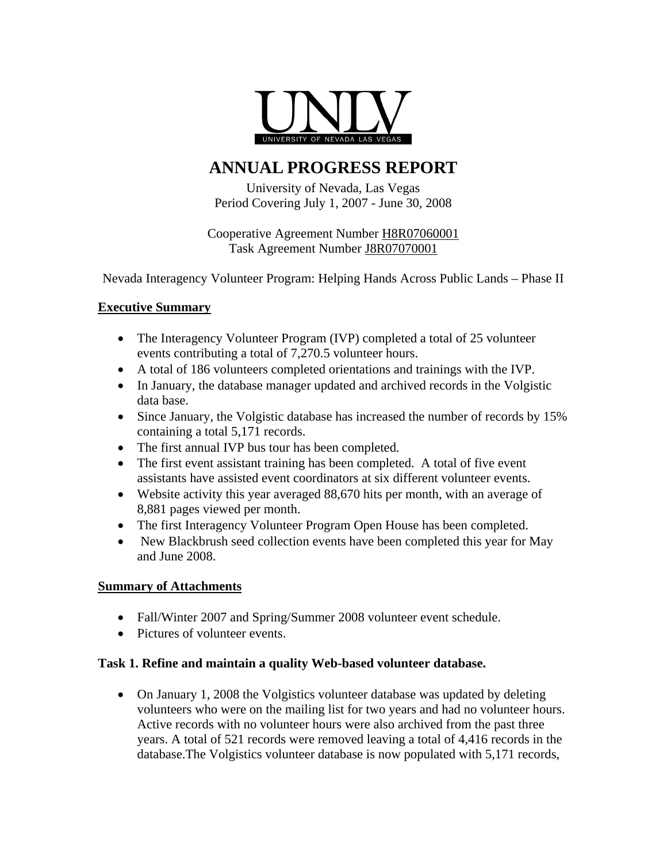

# **ANNUAL PROGRESS REPORT**

University of Nevada, Las Vegas Period Covering July 1, 2007 - June 30, 2008

Cooperative Agreement Number H8R07060001 Task Agreement Number J8R07070001

Nevada Interagency Volunteer Program: Helping Hands Across Public Lands – Phase II

# **Executive Summary**

- The Interagency Volunteer Program (IVP) completed a total of 25 volunteer events contributing a total of 7,270.5 volunteer hours.
- A total of 186 volunteers completed orientations and trainings with the IVP.
- In January, the database manager updated and archived records in the Volgistic data base.
- Since January, the Volgistic database has increased the number of records by 15% containing a total 5,171 records.
- The first annual IVP bus tour has been completed.
- The first event assistant training has been completed. A total of five event assistants have assisted event coordinators at six different volunteer events.
- Website activity this year averaged 88,670 hits per month, with an average of 8,881 pages viewed per month.
- The first Interagency Volunteer Program Open House has been completed.
- New Blackbrush seed collection events have been completed this year for May and June 2008.

# **Summary of Attachments**

- Fall/Winter 2007 and Spring/Summer 2008 volunteer event schedule.
- Pictures of volunteer events.

# **Task 1. Refine and maintain a quality Web-based volunteer database.**

• On January 1, 2008 the Volgistics volunteer database was updated by deleting volunteers who were on the mailing list for two years and had no volunteer hours. Active records with no volunteer hours were also archived from the past three years. A total of 521 records were removed leaving a total of 4,416 records in the database.The Volgistics volunteer database is now populated with 5,171 records,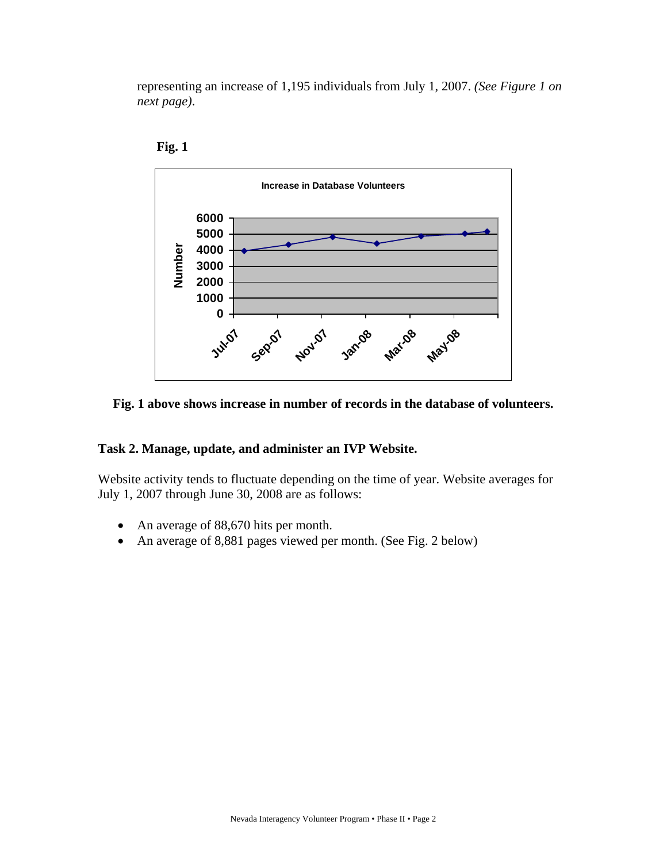representing an increase of 1,195 individuals from July 1, 2007. *(See Figure 1 on next page)*.





#### **Fig. 1 above shows increase in number of records in the database of volunteers.**

#### **Task 2. Manage, update, and administer an IVP Website.**

Website activity tends to fluctuate depending on the time of year. Website averages for July 1, 2007 through June 30, 2008 are as follows:

- An average of 88,670 hits per month.
- An average of 8,881 pages viewed per month. (See Fig. 2 below)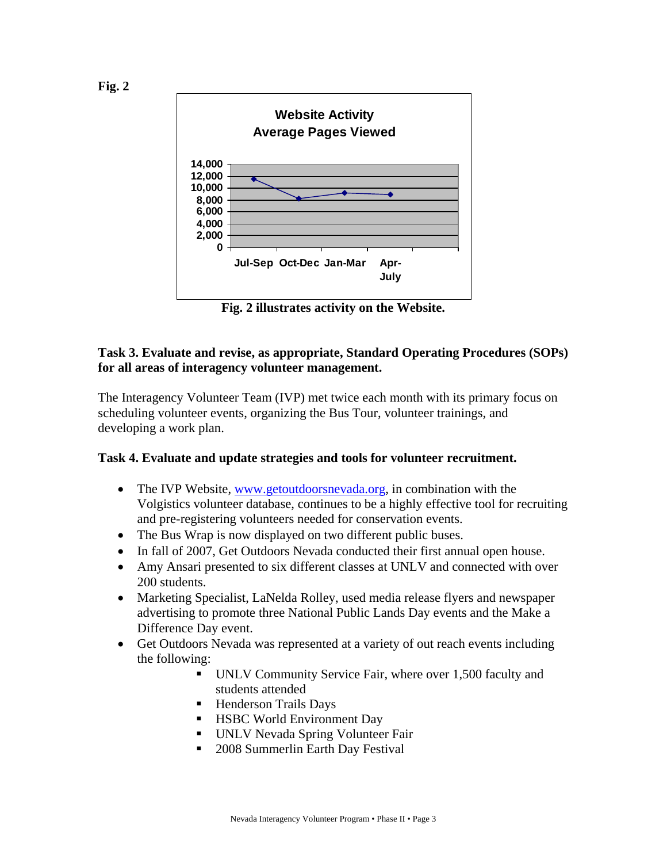

**Fig. 2 illustrates activity on the Website.** 

#### **Task 3. Evaluate and revise, as appropriate, Standard Operating Procedures (SOPs) for all areas of interagency volunteer management.**

The Interagency Volunteer Team (IVP) met twice each month with its primary focus on scheduling volunteer events, organizing the Bus Tour, volunteer trainings, and developing a work plan.

#### **Task 4. Evaluate and update strategies and tools for volunteer recruitment.**

- The IVP Website, [www.getoutdoorsnevada.org,](http://www.getoutdoorsnevada.org/) in combination with the Volgistics volunteer database, continues to be a highly effective tool for recruiting and pre-registering volunteers needed for conservation events.
- The Bus Wrap is now displayed on two different public buses.
- In fall of 2007, Get Outdoors Nevada conducted their first annual open house.
- Amy Ansari presented to six different classes at UNLV and connected with over 200 students.
- Marketing Specialist, LaNelda Rolley, used media release flyers and newspaper advertising to promote three National Public Lands Day events and the Make a Difference Day event.
- Get Outdoors Nevada was represented at a variety of out reach events including the following:
	- UNLV Community Service Fair, where over 1,500 faculty and students attended
	- Henderson Trails Days
	- **HSBC World Environment Day**
	- **UNLV Nevada Spring Volunteer Fair**
	- 2008 Summerlin Earth Day Festival

**Fig. 2**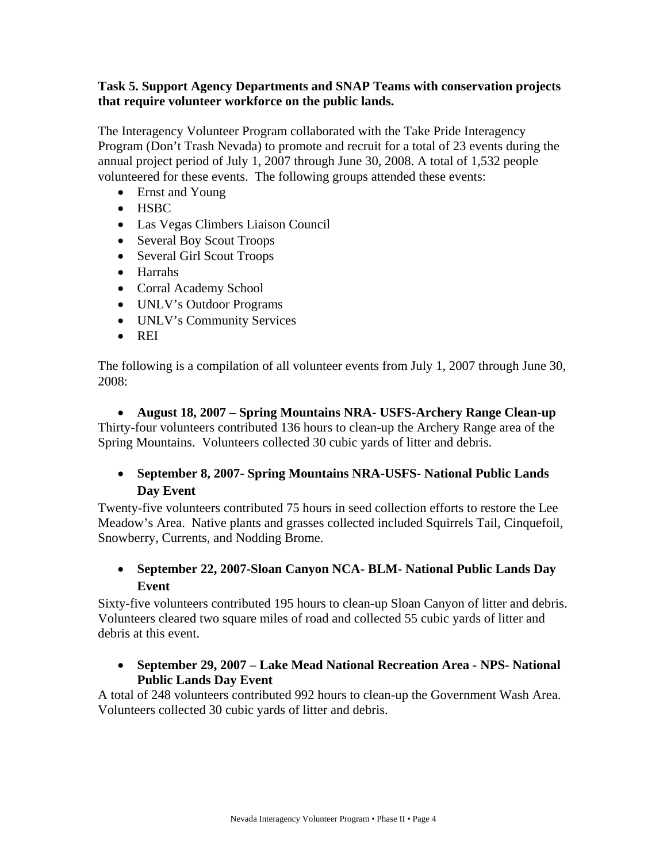#### **Task 5. Support Agency Departments and SNAP Teams with conservation projects that require volunteer workforce on the public lands.**

The Interagency Volunteer Program collaborated with the Take Pride Interagency Program (Don't Trash Nevada) to promote and recruit for a total of 23 events during the annual project period of July 1, 2007 through June 30, 2008. A total of 1,532 people volunteered for these events. The following groups attended these events:

- Ernst and Young
- HSBC
- Las Vegas Climbers Liaison Council
- Several Boy Scout Troops
- Several Girl Scout Troops
- Harrahs
- Corral Academy School
- UNLV's Outdoor Programs
- UNLV's Community Services
- REI

The following is a compilation of all volunteer events from July 1, 2007 through June 30, 2008:

• **August 18, 2007 – Spring Mountains NRA- USFS-Archery Range Clean-up**  Thirty-four volunteers contributed 136 hours to clean-up the Archery Range area of the Spring Mountains. Volunteers collected 30 cubic yards of litter and debris.

# • **September 8, 2007- Spring Mountains NRA-USFS- National Public Lands Day Event**

Twenty-five volunteers contributed 75 hours in seed collection efforts to restore the Lee Meadow's Area. Native plants and grasses collected included Squirrels Tail, Cinquefoil, Snowberry, Currents, and Nodding Brome.

# • **September 22, 2007-Sloan Canyon NCA- BLM- National Public Lands Day Event**

Sixty-five volunteers contributed 195 hours to clean-up Sloan Canyon of litter and debris. Volunteers cleared two square miles of road and collected 55 cubic yards of litter and debris at this event.

• **September 29, 2007 – Lake Mead National Recreation Area - NPS- National Public Lands Day Event** 

A total of 248 volunteers contributed 992 hours to clean-up the Government Wash Area. Volunteers collected 30 cubic yards of litter and debris.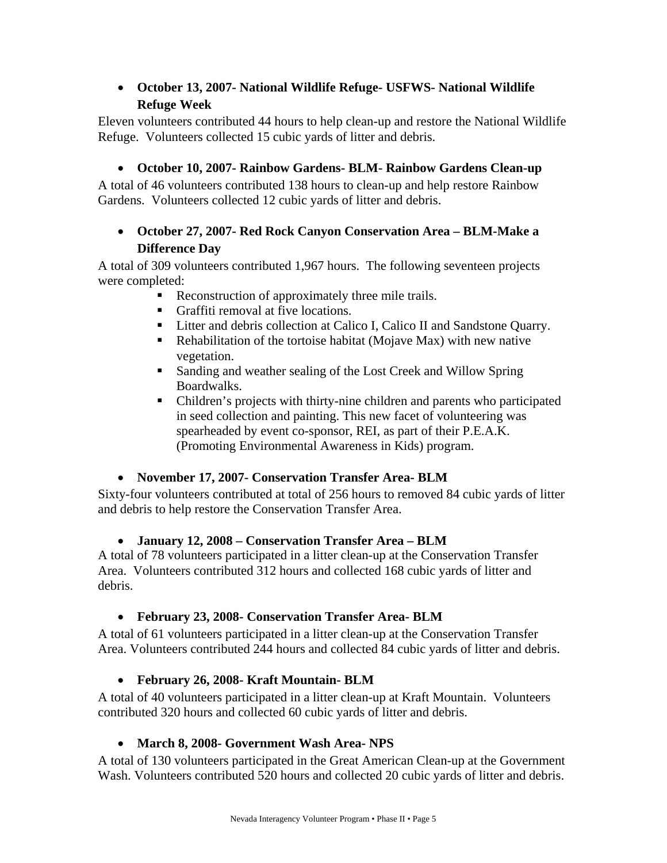# • **October 13, 2007- National Wildlife Refuge- USFWS- National Wildlife Refuge Week**

Eleven volunteers contributed 44 hours to help clean-up and restore the National Wildlife Refuge. Volunteers collected 15 cubic yards of litter and debris.

# • **October 10, 2007- Rainbow Gardens- BLM- Rainbow Gardens Clean-up**

A total of 46 volunteers contributed 138 hours to clean-up and help restore Rainbow Gardens. Volunteers collected 12 cubic yards of litter and debris.

# • **October 27, 2007- Red Rock Canyon Conservation Area – BLM-Make a Difference Day**

A total of 309 volunteers contributed 1,967 hours. The following seventeen projects were completed:

- Reconstruction of approximately three mile trails.
- Graffiti removal at five locations.
- Litter and debris collection at Calico I, Calico II and Sandstone Quarry.
- Rehabilitation of the tortoise habitat (Mojave Max) with new native vegetation.
- Sanding and weather sealing of the Lost Creek and Willow Spring Boardwalks.
- Children's projects with thirty-nine children and parents who participated in seed collection and painting. This new facet of volunteering was spearheaded by event co-sponsor, REI, as part of their P.E.A.K. (Promoting Environmental Awareness in Kids) program.

# • **November 17, 2007- Conservation Transfer Area- BLM**

Sixty-four volunteers contributed at total of 256 hours to removed 84 cubic yards of litter and debris to help restore the Conservation Transfer Area.

# • **January 12, 2008 – Conservation Transfer Area – BLM**

A total of 78 volunteers participated in a litter clean-up at the Conservation Transfer Area. Volunteers contributed 312 hours and collected 168 cubic yards of litter and debris.

# • **February 23, 2008- Conservation Transfer Area- BLM**

A total of 61 volunteers participated in a litter clean-up at the Conservation Transfer Area. Volunteers contributed 244 hours and collected 84 cubic yards of litter and debris.

# • **February 26, 2008- Kraft Mountain- BLM**

A total of 40 volunteers participated in a litter clean-up at Kraft Mountain. Volunteers contributed 320 hours and collected 60 cubic yards of litter and debris.

# • **March 8, 2008- Government Wash Area- NPS**

A total of 130 volunteers participated in the Great American Clean-up at the Government Wash. Volunteers contributed 520 hours and collected 20 cubic yards of litter and debris.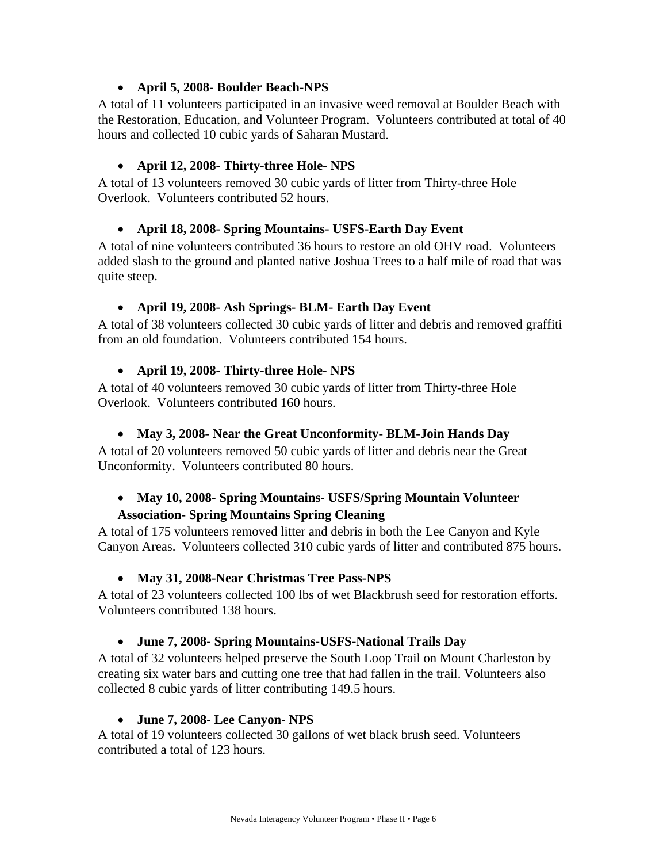# • **April 5, 2008- Boulder Beach-NPS**

A total of 11 volunteers participated in an invasive weed removal at Boulder Beach with the Restoration, Education, and Volunteer Program. Volunteers contributed at total of 40 hours and collected 10 cubic yards of Saharan Mustard.

# • **April 12, 2008- Thirty-three Hole- NPS**

A total of 13 volunteers removed 30 cubic yards of litter from Thirty-three Hole Overlook. Volunteers contributed 52 hours.

# • **April 18, 2008- Spring Mountains- USFS-Earth Day Event**

A total of nine volunteers contributed 36 hours to restore an old OHV road. Volunteers added slash to the ground and planted native Joshua Trees to a half mile of road that was quite steep.

# • **April 19, 2008- Ash Springs- BLM- Earth Day Event**

A total of 38 volunteers collected 30 cubic yards of litter and debris and removed graffiti from an old foundation. Volunteers contributed 154 hours.

# • **April 19, 2008- Thirty-three Hole- NPS**

A total of 40 volunteers removed 30 cubic yards of litter from Thirty-three Hole Overlook. Volunteers contributed 160 hours.

# • **May 3, 2008- Near the Great Unconformity- BLM-Join Hands Day**

A total of 20 volunteers removed 50 cubic yards of litter and debris near the Great Unconformity. Volunteers contributed 80 hours.

# • **May 10, 2008- Spring Mountains- USFS/Spring Mountain Volunteer**

# **Association- Spring Mountains Spring Cleaning**

A total of 175 volunteers removed litter and debris in both the Lee Canyon and Kyle Canyon Areas. Volunteers collected 310 cubic yards of litter and contributed 875 hours.

# • **May 31, 2008-Near Christmas Tree Pass-NPS**

A total of 23 volunteers collected 100 lbs of wet Blackbrush seed for restoration efforts. Volunteers contributed 138 hours.

# • **June 7, 2008- Spring Mountains-USFS-National Trails Day**

A total of 32 volunteers helped preserve the South Loop Trail on Mount Charleston by creating six water bars and cutting one tree that had fallen in the trail. Volunteers also collected 8 cubic yards of litter contributing 149.5 hours.

# • **June 7, 2008- Lee Canyon- NPS**

A total of 19 volunteers collected 30 gallons of wet black brush seed. Volunteers contributed a total of 123 hours.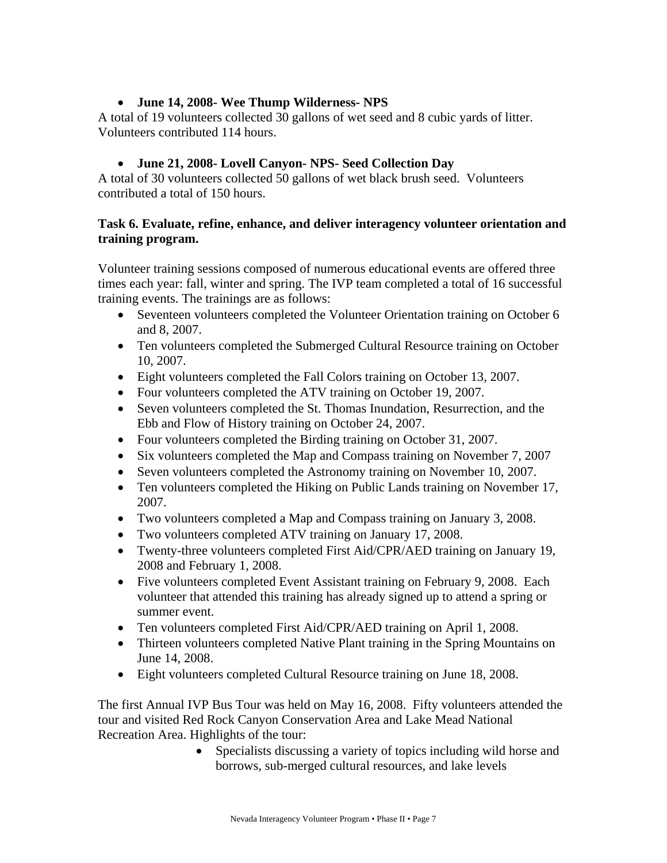# • **June 14, 2008- Wee Thump Wilderness- NPS**

A total of 19 volunteers collected 30 gallons of wet seed and 8 cubic yards of litter. Volunteers contributed 114 hours.

# • **June 21, 2008- Lovell Canyon- NPS- Seed Collection Day**

A total of 30 volunteers collected 50 gallons of wet black brush seed. Volunteers contributed a total of 150 hours.

#### **Task 6. Evaluate, refine, enhance, and deliver interagency volunteer orientation and training program.**

Volunteer training sessions composed of numerous educational events are offered three times each year: fall, winter and spring. The IVP team completed a total of 16 successful training events. The trainings are as follows:

- Seventeen volunteers completed the Volunteer Orientation training on October 6 and 8, 2007.
- Ten volunteers completed the Submerged Cultural Resource training on October 10, 2007.
- Eight volunteers completed the Fall Colors training on October 13, 2007.
- Four volunteers completed the ATV training on October 19, 2007.
- Seven volunteers completed the St. Thomas Inundation, Resurrection, and the Ebb and Flow of History training on October 24, 2007.
- Four volunteers completed the Birding training on October 31, 2007.
- Six volunteers completed the Map and Compass training on November 7, 2007
- Seven volunteers completed the Astronomy training on November 10, 2007.
- Ten volunteers completed the Hiking on Public Lands training on November 17, 2007.
- Two volunteers completed a Map and Compass training on January 3, 2008.
- Two volunteers completed ATV training on January 17, 2008.
- Twenty-three volunteers completed First Aid/CPR/AED training on January 19, 2008 and February 1, 2008.
- Five volunteers completed Event Assistant training on February 9, 2008. Each volunteer that attended this training has already signed up to attend a spring or summer event.
- Ten volunteers completed First Aid/CPR/AED training on April 1, 2008.
- Thirteen volunteers completed Native Plant training in the Spring Mountains on June 14, 2008.
- Eight volunteers completed Cultural Resource training on June 18, 2008.

The first Annual IVP Bus Tour was held on May 16, 2008. Fifty volunteers attended the tour and visited Red Rock Canyon Conservation Area and Lake Mead National Recreation Area. Highlights of the tour:

• Specialists discussing a variety of topics including wild horse and borrows, sub-merged cultural resources, and lake levels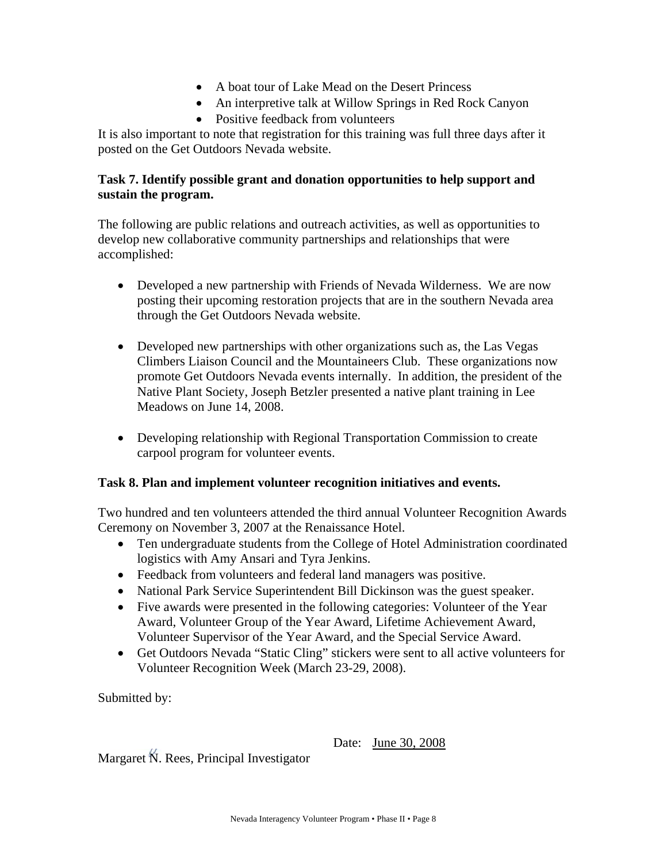- A boat tour of Lake Mead on the Desert Princess
- An interpretive talk at Willow Springs in Red Rock Canyon
- Positive feedback from volunteers

It is also important to note that registration for this training was full three days after it posted on the Get Outdoors Nevada website.

# **Task 7. Identify possible grant and donation opportunities to help support and sustain the program.**

The following are public relations and outreach activities, as well as opportunities to develop new collaborative community partnerships and relationships that were accomplished:

- Developed a new partnership with Friends of Nevada Wilderness. We are now posting their upcoming restoration projects that are in the southern Nevada area through the Get Outdoors Nevada website.
- Developed new partnerships with other organizations such as, the Las Vegas Climbers Liaison Council and the Mountaineers Club. These organizations now promote Get Outdoors Nevada events internally. In addition, the president of the Native Plant Society, Joseph Betzler presented a native plant training in Lee Meadows on June 14, 2008.
- Developing relationship with Regional Transportation Commission to create carpool program for volunteer events.

# **Task 8. Plan and implement volunteer recognition initiatives and events.**

Two hundred and ten volunteers attended the third annual Volunteer Recognition Awards Ceremony on November 3, 2007 at the Renaissance Hotel.

- Ten undergraduate students from the College of Hotel Administration coordinated logistics with Amy Ansari and Tyra Jenkins.
- Feedback from volunteers and federal land managers was positive.
- National Park Service Superintendent Bill Dickinson was the guest speaker.
- Five awards were presented in the following categories: Volunteer of the Year Award, Volunteer Group of the Year Award, Lifetime Achievement Award, Volunteer Supervisor of the Year Award, and the Special Service Award.
- Get Outdoors Nevada "Static Cling" stickers were sent to all active volunteers for Volunteer Recognition Week (March 23-29, 2008).

Submitted by:

Date: June 30, 2008

Margaret N. Rees, Principal Investigator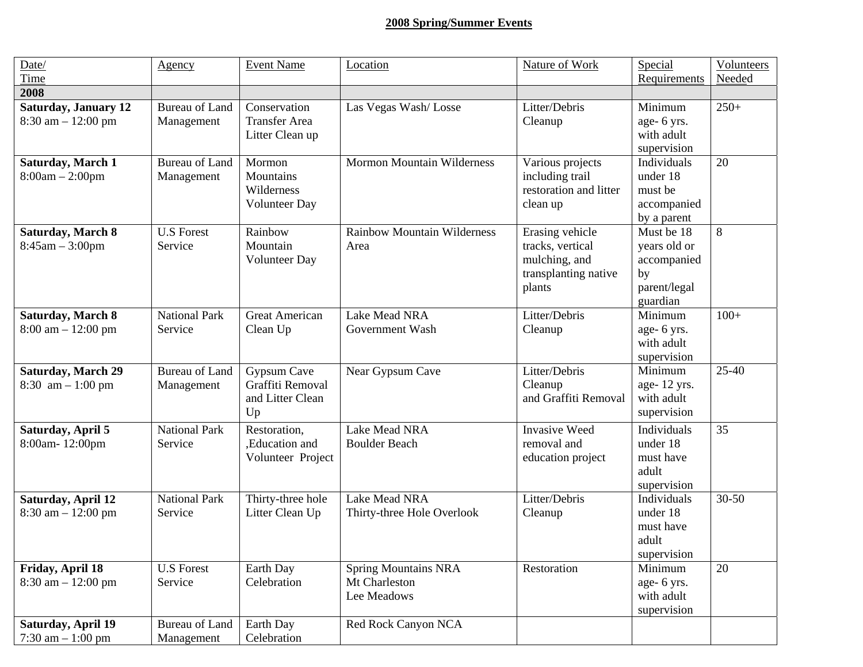# **2008 Spring/Summer Events**

| Date/                                                            | Agency                              | <b>Event Name</b>                                                | Location                                                    | Nature of Work                                                                         | Special                                                                     | Volunteers |
|------------------------------------------------------------------|-------------------------------------|------------------------------------------------------------------|-------------------------------------------------------------|----------------------------------------------------------------------------------------|-----------------------------------------------------------------------------|------------|
| Time                                                             |                                     |                                                                  |                                                             |                                                                                        | Requirements                                                                | Needed     |
| 2008                                                             |                                     |                                                                  |                                                             |                                                                                        |                                                                             |            |
| <b>Saturday, January 12</b><br>$8:30$ am $-12:00$ pm             | <b>Bureau of Land</b><br>Management | Conservation<br><b>Transfer Area</b><br>Litter Clean up          | Las Vegas Wash/Losse                                        | Litter/Debris<br>Cleanup                                                               | Minimum<br>age- 6 yrs.<br>with adult<br>supervision                         | $250+$     |
| <b>Saturday, March 1</b><br>$8:00am - 2:00pm$                    | <b>Bureau of Land</b><br>Management | Mormon<br>Mountains<br>Wilderness<br>Volunteer Day               | <b>Mormon Mountain Wilderness</b>                           | Various projects<br>including trail<br>restoration and litter<br>clean up              | Individuals<br>under 18<br>must be<br>accompanied<br>by a parent            | 20         |
| <b>Saturday, March 8</b><br>$8:45am - 3:00pm$                    | <b>U.S Forest</b><br>Service        | Rainbow<br>Mountain<br>Volunteer Day                             | <b>Rainbow Mountain Wilderness</b><br>Area                  | Erasing vehicle<br>tracks, vertical<br>mulching, and<br>transplanting native<br>plants | Must be 18<br>years old or<br>accompanied<br>by<br>parent/legal<br>guardian | 8          |
| <b>Saturday, March 8</b><br>$8:00 \text{ am} - 12:00 \text{ pm}$ | <b>National Park</b><br>Service     | <b>Great American</b><br>Clean Up                                | Lake Mead NRA<br>Government Wash                            | Litter/Debris<br>Cleanup                                                               | Minimum<br>age- 6 yrs.<br>with adult<br>supervision                         | $100+$     |
| <b>Saturday, March 29</b><br>8:30 $am - 1:00 pm$                 | <b>Bureau of Land</b><br>Management | <b>Gypsum Cave</b><br>Graffiti Removal<br>and Litter Clean<br>Up | Near Gypsum Cave                                            | Litter/Debris<br>Cleanup<br>and Graffiti Removal                                       | Minimum<br>age-12 yrs.<br>with adult<br>supervision                         | $25-40$    |
| Saturday, April 5<br>8:00am-12:00pm                              | <b>National Park</b><br>Service     | Restoration,<br>,Education and<br>Volunteer Project              | Lake Mead NRA<br><b>Boulder Beach</b>                       | <b>Invasive Weed</b><br>removal and<br>education project                               | Individuals<br>under 18<br>must have<br>adult<br>supervision                | 35         |
| Saturday, April 12<br>$8:30$ am $-12:00$ pm                      | <b>National Park</b><br>Service     | Thirty-three hole<br>Litter Clean Up                             | Lake Mead NRA<br>Thirty-three Hole Overlook                 | Litter/Debris<br>Cleanup                                                               | Individuals<br>under 18<br>must have<br>adult<br>supervision                | $30 - 50$  |
| Friday, April 18<br>$8:30$ am $-12:00$ pm                        | <b>U.S Forest</b><br>Service        | Earth Day<br>Celebration                                         | <b>Spring Mountains NRA</b><br>Mt Charleston<br>Lee Meadows | Restoration                                                                            | Minimum<br>age- 6 yrs.<br>with adult<br>supervision                         | 20         |
| Saturday, April 19<br>7:30 am $-1:00$ pm                         | <b>Bureau of Land</b><br>Management | Earth Day<br>Celebration                                         | Red Rock Canyon NCA                                         |                                                                                        |                                                                             |            |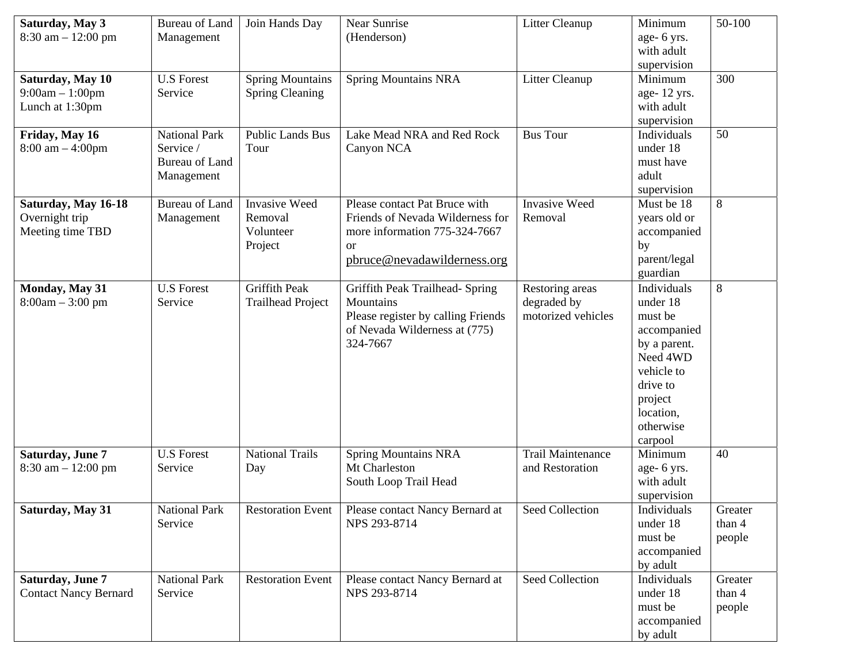| Saturday, May 3<br>$8:30$ am $-12:00$ pm                  | <b>Bureau of Land</b><br>Management                                      | Join Hands Day                                          | Near Sunrise<br>(Henderson)                                                                                                                    | Litter Cleanup                                       | Minimum<br>age- 6 yrs.<br>with adult<br>supervision                                                                                                     | 50-100                      |
|-----------------------------------------------------------|--------------------------------------------------------------------------|---------------------------------------------------------|------------------------------------------------------------------------------------------------------------------------------------------------|------------------------------------------------------|---------------------------------------------------------------------------------------------------------------------------------------------------------|-----------------------------|
| Saturday, May 10<br>$9:00am - 1:00pm$<br>Lunch at 1:30pm  | <b>U.S Forest</b><br>Service                                             | <b>Spring Mountains</b><br><b>Spring Cleaning</b>       | <b>Spring Mountains NRA</b>                                                                                                                    | Litter Cleanup                                       | Minimum<br>age-12 yrs.<br>with adult<br>supervision                                                                                                     | 300                         |
| Friday, May 16<br>$8:00 \text{ am} - 4:00 \text{ pm}$     | <b>National Park</b><br>Service /<br><b>Bureau of Land</b><br>Management | <b>Public Lands Bus</b><br>Tour                         | Lake Mead NRA and Red Rock<br>Canyon NCA                                                                                                       | <b>Bus Tour</b>                                      | Individuals<br>under 18<br>must have<br>adult<br>supervision                                                                                            | 50                          |
| Saturday, May 16-18<br>Overnight trip<br>Meeting time TBD | <b>Bureau of Land</b><br>Management                                      | <b>Invasive Weed</b><br>Removal<br>Volunteer<br>Project | Please contact Pat Bruce with<br>Friends of Nevada Wilderness for<br>more information 775-324-7667<br><b>or</b><br>pbruce@nevadawilderness.org | <b>Invasive Weed</b><br>Removal                      | Must be 18<br>years old or<br>accompanied<br>by<br>parent/legal<br>guardian                                                                             | 8                           |
| Monday, May 31<br>$8:00am - 3:00 pm$                      | <b>U.S Forest</b><br>Service                                             | Griffith Peak<br><b>Trailhead Project</b>               | Griffith Peak Trailhead- Spring<br>Mountains<br>Please register by calling Friends<br>of Nevada Wilderness at (775)<br>324-7667                | Restoring areas<br>degraded by<br>motorized vehicles | Individuals<br>under 18<br>must be<br>accompanied<br>by a parent.<br>Need 4WD<br>vehicle to<br>drive to<br>project<br>location,<br>otherwise<br>carpool | 8                           |
| Saturday, June 7<br>$8:30$ am $-12:00$ pm                 | <b>U.S Forest</b><br>Service                                             | <b>National Trails</b><br>Day                           | <b>Spring Mountains NRA</b><br>Mt Charleston<br>South Loop Trail Head                                                                          | <b>Trail Maintenance</b><br>and Restoration          | Minimum<br>age- 6 yrs.<br>with adult<br>supervision                                                                                                     | 40                          |
| Saturday, May 31                                          | <b>National Park</b><br>Service                                          | <b>Restoration Event</b>                                | Please contact Nancy Bernard at<br>NPS 293-8714                                                                                                | Seed Collection                                      | Individuals<br>under 18<br>must be<br>accompanied<br>by adult                                                                                           | Greater<br>than 4<br>people |
| Saturday, June 7<br><b>Contact Nancy Bernard</b>          | <b>National Park</b><br>Service                                          | <b>Restoration Event</b>                                | Please contact Nancy Bernard at<br>NPS 293-8714                                                                                                | Seed Collection                                      | Individuals<br>under 18<br>must be<br>accompanied<br>by adult                                                                                           | Greater<br>than 4<br>people |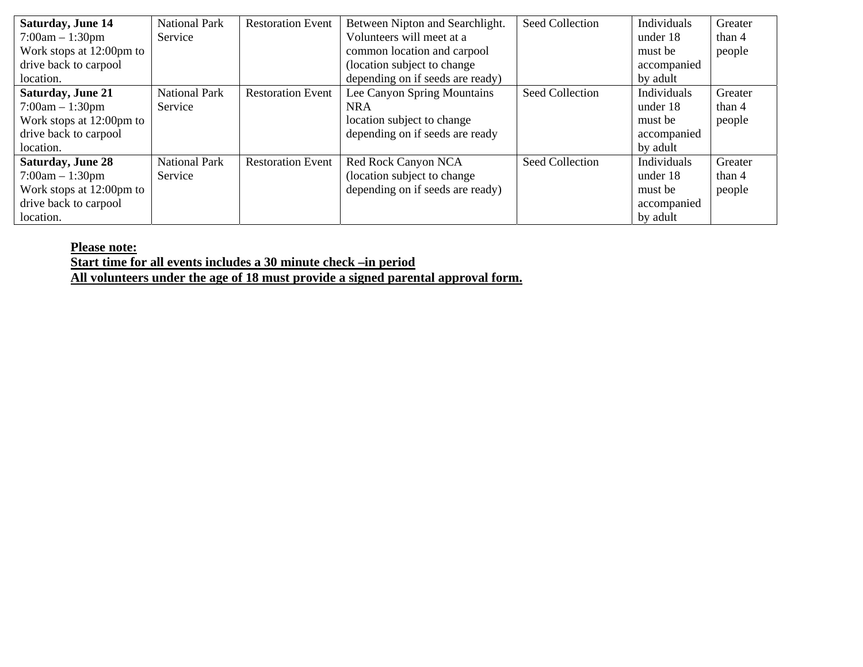| <b>Saturday, June 14</b> | <b>National Park</b> | <b>Restoration Event</b> | Between Nipton and Searchlight.  | Seed Collection | Individuals | Greater |
|--------------------------|----------------------|--------------------------|----------------------------------|-----------------|-------------|---------|
| $7:00am - 1:30pm$        | Service              |                          | Volunteers will meet at a        |                 | under 18    | than 4  |
| Work stops at 12:00pm to |                      |                          | common location and carpool      |                 | must be     | people  |
| drive back to carpool    |                      |                          | (location subject to change      |                 | accompanied |         |
| location.                |                      |                          | depending on if seeds are ready) |                 | by adult    |         |
| <b>Saturday, June 21</b> | <b>National Park</b> | <b>Restoration Event</b> | Lee Canyon Spring Mountains      | Seed Collection | Individuals | Greater |
| $7:00am - 1:30pm$        | Service              |                          | <b>NRA</b>                       |                 | under 18    | than 4  |
| Work stops at 12:00pm to |                      |                          | location subject to change       |                 | must be     | people  |
| drive back to carpool    |                      |                          | depending on if seeds are ready  |                 | accompanied |         |
| location.                |                      |                          |                                  |                 | by adult    |         |
| <b>Saturday, June 28</b> | <b>National Park</b> | <b>Restoration Event</b> | Red Rock Canyon NCA              | Seed Collection | Individuals | Greater |
| $7:00am - 1:30pm$        | Service              |                          | (location subject to change      |                 | under 18    | than 4  |
| Work stops at 12:00pm to |                      |                          | depending on if seeds are ready) |                 | must be     | people  |
| drive back to carpool    |                      |                          |                                  |                 | accompanied |         |
| location.                |                      |                          |                                  |                 | by adult    |         |

**Please note:**

**Start time for all events includes a 30 minute check –in period**

**All volunteers under the age of 18 must provide a signed parental approval form.**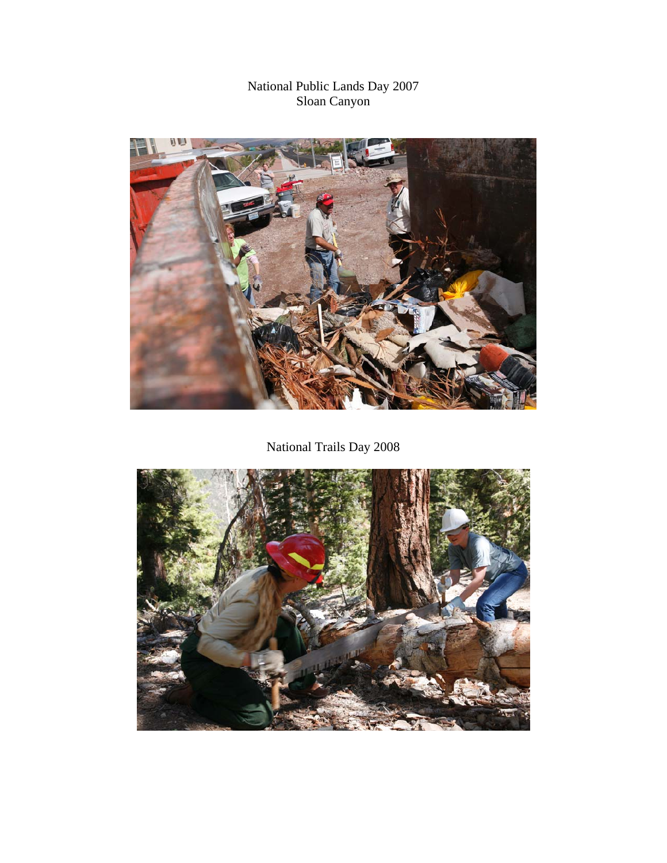# National Public Lands Day 2007 Sloan Canyon



National Trails Day 2008